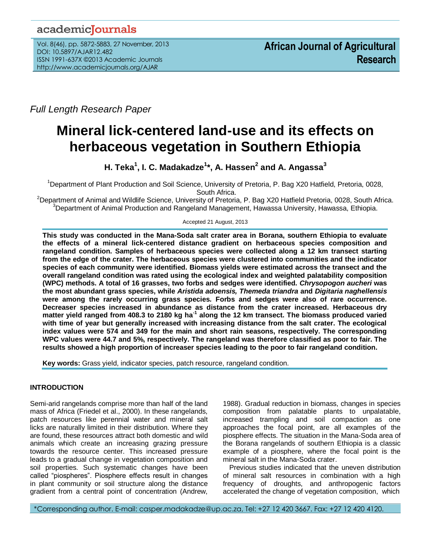## academicJournals

Vol. 8(46), pp. 5872-5883, 27 November, 2013 DOI: 10.5897/AJAR12.482 ISSN 1991-637X ©2013 Academic Journals http://www.academicjournals.org/AJAR

*Full Length Research Paper*

# **Mineral lick-centered land-use and its effects on herbaceous vegetation in Southern Ethiopia**

**H. Teka<sup>1</sup> , I. C. Madakadze<sup>1</sup> \*, A. Hassen<sup>2</sup> and A. Angassa<sup>3</sup>**

<sup>1</sup>Department of Plant Production and Soil Science, University of Pretoria, P. Bag X20 Hatfield, Pretoria, 0028, South Africa.

<sup>2</sup>Department of Animal and Wildlife Science, University of Pretoria, P. Bag X20 Hatfield Pretoria, 0028, South Africa. <sup>3</sup>Department of Animal Production and Rangeland Management, Hawassa University, Hawassa, Ethiopia.

## Accepted 21 August, 2013

**This study was conducted in the Mana-Soda salt crater area in Borana, southern Ethiopia to evaluate the effects of a mineral lick-centered distance gradient on herbaceous species composition and rangeland condition. Samples of herbaceous species were collected along a 12 km transect starting from the edge of the crater. The herbaceous species were clustered into communities and the indicator species of each community were identified. Biomass yields were estimated across the transect and the overall rangeland condition was rated using the ecological index and weighted palatability composition (WPC) methods. A total of 16 grasses, two forbs and sedges were identified.** *Chrysopogon aucheri* **was the most abundant grass species, while** *Aristida adoensis, Themeda triandra* **and** *Digitaria naghellensis* **were among the rarely occurring grass species***.* **Forbs and sedges were also of rare occurrence***.*  **Decreaser species increased in abundance as distance from the crater increased. Herbaceous dry matter yield ranged from 408.3 to 2180 kg ha-1 along the 12 km transect. The biomass produced varied with time of year but generally increased with increasing distance from the salt crater. The ecological index values were 574 and 349 for the main and short rain seasons, respectively. The corresponding WPC values were 44.7 and 5%, respectively. The rangeland was therefore classified as poor to fair. The results showed a high proportion of increaser species leading to the poor to fair rangeland condition.** 

**Key words:** Grass yield, indicator species, patch resource, rangeland condition.

## **INTRODUCTION**

Semi-arid rangelands comprise more than half of the land mass of Africa (Friedel et al., 2000). In these rangelands, patch resources like perennial water and mineral salt licks are naturally limited in their distribution. Where they are found, these resources attract both domestic and wild animals which create an increasing grazing pressure towards the resource center. This increased pressure leads to a gradual change in vegetation composition and soil properties. Such systematic changes have been called "piospheres". Piosphere effects result in changes in plant community or soil structure along the distance gradient from a central point of concentration (Andrew,

1988). Gradual reduction in biomass, changes in species composition from palatable plants to unpalatable, increased trampling and soil compaction as one approaches the focal point, are all examples of the piosphere effects. The situation in the Mana-Soda area of the Borana rangelands of southern Ethiopia is a classic example of a piosphere, where the focal point is the mineral salt in the Mana-Soda crater.

Previous studies indicated that the uneven distribution of mineral salt resources in combination with a high frequency of droughts, and anthropogenic factors accelerated the change of vegetation composition, which

\*Corresponding author. E-mail: casper.madakadze@up.ac.za, Tel: +27 12 420 3667. Fax: +27 12 420 4120.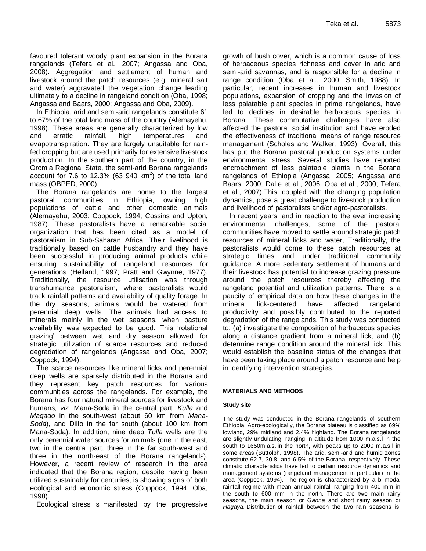favoured tolerant woody plant expansion in the Borana rangelands (Tefera et al., 2007; Angassa and Oba, 2008). Aggregation and settlement of human and livestock around the patch resources (e.g. mineral salt and water) aggravated the vegetation change leading ultimately to a decline in rangeland condition (Oba, 1998; Angassa and Baars, 2000; Angassa and Oba, 2009).

In Ethiopia, arid and semi-arid rangelands constitute 61 to 67% of the total land mass of the country (Alemayehu, 1998). These areas are generally characterized by low and erratic rainfall, high temperatures and evapotranspiration. They are largely unsuitable for rainfed cropping but are used primarily for extensive livestock production. In the southern part of the country, in the Oromia Regional State, the semi-arid Borana rangelands account for 7.6 to 12.3% (63 940  $km^2$ ) of the total land mass (OBPED, 2000).

The Borana rangelands are home to the largest pastoral communities in Ethiopia, owning high populations of cattle and other domestic animals (Alemayehu, 2003; Coppock, 1994; Cossins and Upton, 1987). These pastoralists have a remarkable social organization that has been cited as a model of pastoralism in Sub-Saharan Africa. Their livelihood is traditionally based on cattle husbandry and they have been successful in producing animal products while ensuring sustainability of rangeland resources for generations (Helland, 1997; Pratt and Gwynne, 1977). Traditionally, the resource utilisation was through transhumance pastoralism, where pastoralists would track rainfall patterns and availability of quality forage. In the dry seasons, animals would be watered from perennial deep wells. The animals had access to minerals mainly in the wet seasons, when pasture availability was expected to be good. This 'rotational grazing' between wet and dry season allowed for strategic utilization of scarce resources and reduced degradation of rangelands (Angassa and Oba, 2007; Coppock, 1994).

The scarce resources like mineral licks and perennial deep wells are sparsely distributed in the Borana and they represent key patch resources for various communities across the rangelands. For example, the Borana has four natural mineral sources for livestock and humans, *viz.* Mana-Soda in the central part; *Kulla* and *Magado* in the south-west (about 60 km from *Mana-Soda*), and Dillo in the far south (about 100 km from Mana-Soda). In addition, nine deep *Tulla* wells are the only perennial water sources for animals (one in the east, two in the central part, three in the far south-west and three in the north-east of the Borana rangelands). However, a recent review of research in the area indicated that the Borana region, despite having been utilized sustainably for centuries, is showing signs of both ecological and economic stress (Coppock, 1994; Oba, 1998).

Ecological stress is manifested by the progressive

growth of bush cover, which is a common cause of loss of herbaceous species richness and cover in arid and semi-arid savannas, and is responsible for a decline in range condition (Oba et al., 2000; Smith, 1988). In particular, recent increases in human and livestock populations, expansion of cropping and the invasion of less palatable plant species in prime rangelands, have led to declines in desirable herbaceous species in Borana. These commutative challenges have also affected the pastoral social institution and have eroded the effectiveness of traditional means of range resource management (Scholes and Walker, 1993). Overall, this has put the Borana pastoral production systems under environmental stress. Several studies have reported encroachment of less palatable plants in the Borana rangelands of Ethiopia (Angassa, 2005; Angassa and Baars, 2000; Dalle et al., 2006; Oba et al., 2000; Tefera et al., 2007).This, coupled with the changing population dynamics, pose a great challenge to livestock production and livelihood of pastoralists and/or agro-pastoralists.

In recent years, and in reaction to the ever increasing environmental challenges, some of the pastoral communities have moved to settle around strategic patch resources of mineral licks and water, Traditionally, the pastoralists would come to these patch resources at strategic times and under traditional community guidance. A more sedentary settlement of humans and their livestock has potential to increase grazing pressure around the patch resources thereby affecting the rangeland potential and utilization patterns. There is a paucity of empirical data on how these changes in the mineral lick-centered have affected rangeland productivity and possibly contributed to the reported degradation of the rangelands. This study was conducted to: (a) investigate the composition of herbaceous species along a distance gradient from a mineral lick, and (b) determine range condition around the mineral lick. This would establish the baseline status of the changes that have been taking place around a patch resource and help in identifying intervention strategies.

## **MATERIALS AND METHODS**

## **Study site**

The study was conducted in the Borana rangelands of southern Ethiopia. Agro-ecologically, the Borana plateau is classified as 69% lowland, 29% midland and 2.4% highland. The Borana rangelands are slightly undulating, ranging in altitude from 1000 m.a.s.l in the south to 1650m.a.s.lin the north, with peaks up to 2000 m.a.s.l in some areas (Buttolph, 1998). The arid, semi-arid and humid zones constitute 62.7, 30.8, and 6.5% of the Borana, respectively. These climatic characteristics have led to certain resource dynamics and management systems (rangeland management in particular) in the area (Coppock, 1994). The region is characterized by a bi-modal rainfall regime with mean annual rainfall ranging from 400 mm in the south to 600 mm in the north. There are two main rainy seasons, the main season or *Ganna* and short rainy season or *Hagaya*. Distribution of rainfall between the two rain seasons is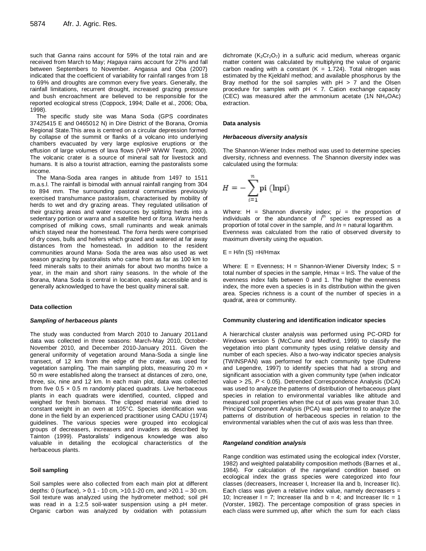such that *Ganna* rains account for 59% of the total rain and are received from March to May; *Hagaya* rains account for 27% and fall between Septembers to November. Angassa and Oba (2007) indicated that the coefficient of variability for rainfall ranges from 18 to 69% and droughts are common every five years. Generally, the rainfall limitations, recurrent drought, increased grazing pressure and bush encroachment are believed to be responsible for the reported ecological stress (Coppock, 1994; Dalle et al., 2006; Oba, 1998).

The specific study site was Mana Soda (GPS coordinates 37425415 E and 0465012 N) in Dire District of the Borana, Oromia Regional State.This area is centred on a circular depression formed by collapse of the summit or flanks of a volcano into underlying chambers evacuated by very large explosive eruptions or the effusion of large volumes of lava flows (VHP WWW Team, 2000). The volcanic crater is a source of mineral salt for livestock and humans. It is also a tourist attraction, earning the pastoralists some income.

The Mana-Soda area ranges in altitude from 1497 to 1511 m.a.s.l. The rainfall is bimodal with annual rainfall ranging from 304 to 894 mm. The surrounding pastoral communities previously exercised transhumance pastoralism, characterised by mobility of herds to wet and dry grazing areas. They regulated utilisation of their grazing areas and water resources by splitting herds into a sedentary portion or *warra* and a satellite herd or *forra. Warra* herds comprised of milking cows, small ruminants and weak animals which stayed near the homestead. The *forra* herds were comprised of dry cows, bulls and heifers which grazed and watered at far away distances from the homestead**.** In addition to the resident communities around Mana- Soda the area was also used as wet season grazing by pastoralists who came from as far as 100 km to feed minerals salts to their animals for about two months twice a year, in the main and short rainy seasons. In the whole of the Borana, Mana Soda is central in location, easily accessible and is generally acknowledged to have the best quality mineral salt.

#### **Data collection**

#### *Sampling of herbaceous plants*

The study was conducted from March 2010 to January 2011and data was collected in three seasons: March-May 2010, October-November 2010, and December 2010-January 2011. Given the general uniformity of vegetation around Mana-Soda a single line transect, of 12 km from the edge of the crater, was used for vegetation sampling. The main sampling plots, measuring 20 m × 50 m were established along the transect at distances of zero, one, three, six, nine and 12 km. In each main plot, data was collected from five  $0.5 \times 0.5$  m randomly placed quadrats. Live herbaceous plants in each quadrats were identified, counted, clipped and weighed for fresh biomass. The clipped material was dried to constant weight in an oven at 105°C. Species identification was done in the field by an experienced practitioner using CADU (1974) guidelines. The various species were grouped into ecological groups of decreasers, increasers and invaders as described by Tainton (1999). Pastoralists' indigenous knowledge was also valuable in detailing the ecological characteristics of the herbaceous plants.

#### **Soil sampling**

Soil samples were also collected from each main plot at different depths: 0 (surface), > 0.1 - 10 cm, >10.1-20 cm, and >20.1 – 30 cm. Soil texture was analyzed using the hydrometer method; soil pH was read in a 1:2.5 soil-water suspension using a pH meter. Organic carbon was analyzed by oxidation with potassium

dichromate  $(K_2Cr_2O_7)$  in a sulfuric acid medium, whereas organic matter content was calculated by multiplying the value of organic carbon reading with a constant  $(K = 1.724)$ . Total nitrogen was estimated by the Kjeldahl method; and available phosphorus by the Bray method for the soil samples with  $pH > 7$  and the Olsen procedure for samples with  $pH < 7$ . Cation exchange capacity (CEC) was measured after the ammonium acetate (1N NH4OAc) extraction.

#### **Data analysis**

#### *Herbaceous diversity analysis*

The Shannon-Wiener Index method was used to determine species diversity, richness and evenness. The Shannon diversity index was calculated using the formula:

$$
H = -\sum_{i=1}^{n} \mathbf{pi} \, (\mathbf{lnpi})
$$

Where: H = Shannon diversity index; p*i* = the proportion of individuals or the abundance of i<sup>th</sup> species expressed as a proportion of total cover in the sample, and *ln* = natural logarithm. Evenness was calculated from the ratio of observed diversity to maximum diversity using the equation.

 $E = H/In (S) = H/H$ max

Where:  $E =$  Evenness;  $H =$  Shannon-Wiener Diversity Index;  $S =$ total number of species in the sample, Hmax = lnS. The value of the evenness index falls between 0 and 1. The higher the evenness index, the more even a species is in its distribution within the given area. Species richness is a count of the number of species in a quadrat, area or community.

#### **Community clustering and identification indicator species**

A hierarchical cluster analysis was performed using PC-ORD for Windows version 5 (McCune and Medford, 1999) to classify the vegetation into plant community types using relative density and number of each species. Also a two-way indicator species analysis (TWINSPAN) was performed for each community type (Dufrene and Legendre, 1997) to identify species that had a strong and significant association with a given community type (when indicator value > 25, *P* < 0.05). Detrended Correspondence Analysis (DCA) was used to analyze the patterns of distribution of herbaceous plant species in relation to environmental variables like altitude and measured soil properties when the cut of axis was greater than 3.0. Principal Component Analysis (PCA) was performed to analyze the patterns of distribution of herbaceous species in relation to the environmental variables when the cut of axis was less than three.

#### *Rangeland condition analysis*

Range condition was estimated using the ecological index (Vorster, 1982) and weighted palatability composition methods (Barnes et al., 1984). For calculation of the rangeland condition based on ecological index the grass species were categorized into four classes (decreasers, Increaser I, Increaser IIa and b, Increaser IIc). Each class was given a relative index value, namely decreasers = 10; Increaser I = 7; Increaser IIa and  $b = 4$ ; and Increaser IIc = 1 (Vorster, 1982). The percentage composition of grass species in each class were summed up, after which the sum for each class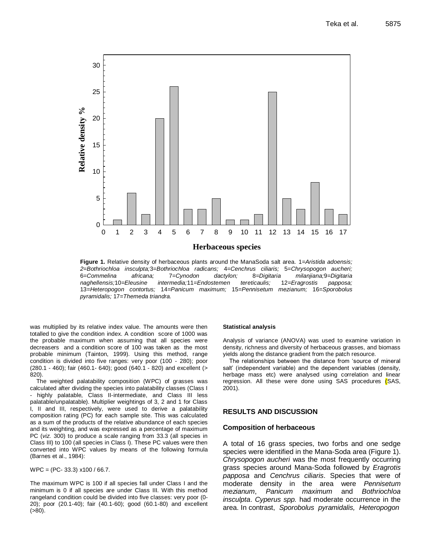

**Figure 1.** Relative density of herbaceous plants around the ManaSoda salt area. 1*=Aristida adoensis; 2=Bothriochloa insculpta;*3*=Bothriochloa radicans;* 4*=Cenchrus ciliaris;* 5*=Chrysopogon aucheri;*  6*=Commelina africana;* 7*=Cynodon dactylon;* 8*=Digitaria milanjiana;*9*=Digitaria naghellensis;*10*=Eleusine intermedia;*11*=Endostemen tereticaulis;* 12*=Eragrostis papposa;*  13*=Heteropogon contortus;* 14*=Panicum maximum;* 15*=Pennisetum mezianum;* 16*=Sporobolus pyramidalis;* 17*=Themeda triandra.*

was multiplied by its relative index value. The amounts were then totalled to give the condition index. A condition score of 1000 was the probable maximum when assuming that all species were decreasers and a condition score of 100 was taken as the most probable minimum (Tainton, 1999). Using this method, range condition is divided into five ranges: very poor (100 - 280); poor (280.1 - 460); fair (460.1- 640); good (640.1 - 820) and excellent (> 820).

The weighted palatability composition (WPC) of grasses was calculated after dividing the species into palatability classes (Class I - highly palatable, Class II-intermediate, and Class III less palatable/unpalatable). Multiplier weightings of 3, 2 and 1 for Class I, II and III, respectively, were used to derive a palatability composition rating (PC) for each sample site. This was calculated as a sum of the products of the relative abundance of each species and its weighting, and was expressed as a percentage of maximum PC (*viz.* 300) to produce a scale ranging from 33.3 (all species in Class III) to 100 (all species in Class I). These PC values were then converted into WPC values by means of the following formula (Barnes et al., 1984):

WPC = (PC- 33.3) x100 / 66.7.

The maximum WPC is 100 if all species fall under Class I and the minimum is 0 if all species are under Class III. With this method rangeland condition could be divided into five classes: very poor (0- 20); poor (20.1-40); fair (40.1-60); good (60.1-80) and excellent  $( > 80).$ 

#### **Statistical analysis**

Analysis of variance (ANOVA) was used to examine variation in density, richness and diversity of herbaceous grasses, and biomass yields along the distance gradient from the patch resource.

The relationships between the distance from 'source of mineral salt' (independent variable) and the dependent variables (density, herbage mass etc) were analysed using correlation and linear regression. All these were done using SAS procedures (SAS, 2001).

## **RESULTS AND DISCUSSION**

#### **Composition of herbaceous**

A total of 16 grass species, two forbs and one sedge species were identified in the Mana-Soda area (Figure 1). *Chrysopogon aucheri* was the most frequently occurring grass species around Mana-Soda followed by *Eragrotis papposa* and *Cenchrus ciliaris*. Species that were of moderate density in the area were *Pennisetum mezianum*, *Panicum maximum* and *Bothriochloa insculpta*. *Cyperus spp.* had moderate occurrence in the area. In contrast, *Sporobolus pyramidalis, Heteropogon*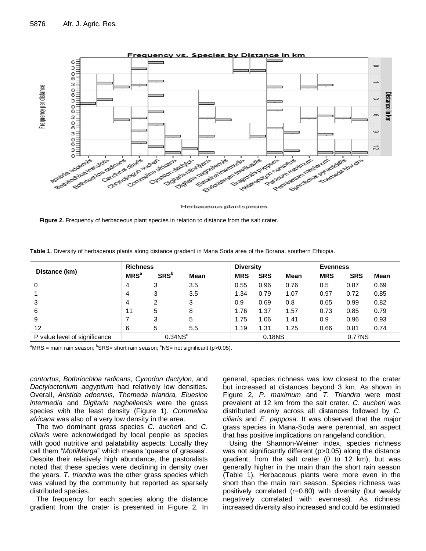

Herbaceous plantspecies

**Figure 2.** Frequency of herbaceous plant species in relation to distance from the salt crater.

|                               | <b>Richness</b>      |              |             |            | <b>Diversity</b> |      | <b>Evenness</b> |            |      |  |
|-------------------------------|----------------------|--------------|-------------|------------|------------------|------|-----------------|------------|------|--|
| Distance (km)                 | MRS <sup>a</sup>     | <b>SRS</b> b | <b>Mean</b> | <b>MRS</b> | <b>SRS</b>       | Mean | <b>MRS</b>      | <b>SRS</b> | Mean |  |
| 0                             | 4                    | 3            | 3.5         | 0.55       | 0.96             | 0.76 | 0.5             | 0.87       | 0.69 |  |
|                               | 4                    | 3            | 3.5         | 1.34       | 0.79             | 1.07 | 0.97            | 0.72       | 0.85 |  |
| 3                             | 4                    | 2            | 3           | 0.9        | 0.69             | 0.8  | 0.65            | 0.99       | 0.82 |  |
| 6                             | 11                   | 5            | 8           | 1.76       | 1.37             | 1.57 | 0.73            | 0.85       | 0.79 |  |
| 9                             |                      | 3            | 5           | 1.75       | 1.06             | 1.41 | 0.9             | 0.96       | 0.93 |  |
| 12                            | 6                    | 5            | 5.5         | 1.19       | 1.31             | 1.25 | 0.66            | 0.81       | 0.74 |  |
| P value level of significance | $0.34$ NS $^{\circ}$ |              |             | 0.18NS     |                  |      | 0.77NS          |            |      |  |

**Table 1.** Diversity of herbaceous plants along distance gradient in Mana Soda area of the Borana, southern Ethiopia.

 $\mathrm{^{a}MRS}$  = main rain season;  $\mathrm{^{b}SRS}$  = short rain season;  $\mathrm{^{c}NS}$  = not significant (p>0.05).

*contortus, Bothriochloa radicans, Cynodon dactylon*, and *Dactyloctenium aegyptium* had relatively low densities. Overall, *Aristida adoensis, Themeda triandra, Eluesine intermedia* and *Digitaria naghellensis* were the grass species with the least density (Figure 1). *Commelina africana* was also of a very low density in the area.

The two dominant grass species *C. aucher*i and *C. ciliaris* were acknowledged by local people as species with good nutritive and palatability aspects. Locally they call them "*MotiiMerga*" which means 'queens of grasses'. Despite their relatively high abundance, the pastoralists noted that these species were declining in density over the years. *T. triandra* was the other grass species which was valued by the community but reported as sparsely distributed species.

The frequency for each species along the distance gradient from the crater is presented in Figure 2. In general, species richness was low closest to the crater but increased at distances beyond 3 km. As shown in Figure 2, *P. maximum* and *T. Triandra* were most prevalent at 12 km from the salt crater. *C. aucheri* was distributed evenly across all distances followed by *C. ciliaris* and *E. papposa*. It was observed that the major grass species in Mana-Soda were perennial, an aspect that has positive implications on rangeland condition.

Using the Shannon-Weiner index, species richness was not significantly different (p>0.05) along the distance gradient, from the salt crater (0 to 12 km), but was generally higher in the main than the short rain season (Table 1). Herbaceous plants were more even in the short than the main rain season. Species richness was positively correlated (r=0.80) with diversity (but weakly negatively correlated with evenness). As richness increased diversity also increased and could be estimated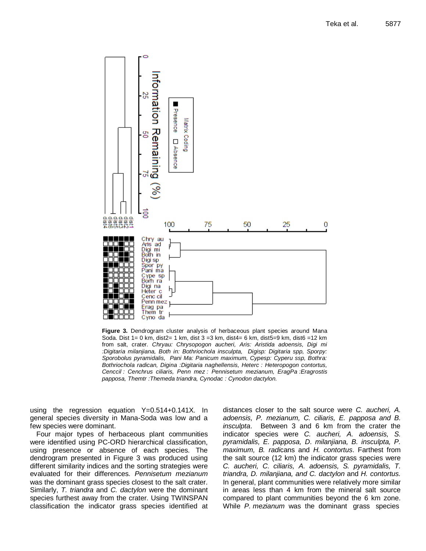

**Figure 3.** Dendrogram cluster analysis of herbaceous plant species around Mana Soda. Dist 1= 0 km, dist2= 1 km, dist 3 =3 km, dist4= 6 km, dist5=9 km, dist6 =12 km from salt, crater. *Chryau: Chrysopogon aucheri, Aris: Aristida adoensis, Digi mi :Digitaria milanjiana, Both in: Bothriochola insculpta, Digisp: Digitaria spp, Sporpy: Sporobolus pyramidalis, Pani Ma: Panicum maximum, Cypesp: Cyperu ssp, Bothra: Bothriochola radican, Digina :Digitaria naghellensis, Heterc : Heteropogon contortus, Cenccil : Cenchrus ciliaris, Penn mez : Pennisetum mezianum, EragPa :Eragrostis papposa, Themtr :Themeda triandra, Cynodac : Cynodon dactylon.*

using the regression equation Y=0.514+0.141X. In general species diversity in Mana-Soda was low and a few species were dominant.

Four major types of herbaceous plant communities were identified using PC-ORD hierarchical classification, using presence or absence of each species. The dendrogram presented in Figure 3 was produced using different similarity indices and the sorting strategies were evaluated for their differences. *Pennisetum mezianum* was the dominant grass species closest to the salt crater. Similarly, *T. triandra* and *C. dactylon* were the dominant species furthest away from the crater. Using TWINSPAN classification the indicator grass species identified at distances closer to the salt source were *C. aucheri, A. adoensis, P. mezianum, C. ciliaris, E. papposa and B. insculpta*. Between 3 and 6 km from the crater the indicator species were *C. aucheri, A. adoensis, S. pyramidalis, E. papposa, D*. *milanjiana, B. insculpta, P. maximum, B. radi*cans and *H. contortus*. Farthest from the salt source (12 km) the indicator grass species were *C. aucheri, C. ciliaris, A. adoensis, S. pyramidalis, T. triandra, D. milanjiana, and C. dactylon* and *H. contortus.* In general, plant communities were relatively more similar in areas less than 4 km from the mineral salt source compared to plant communities beyond the 6 km zone. While *P. mezianum* was the dominant grass species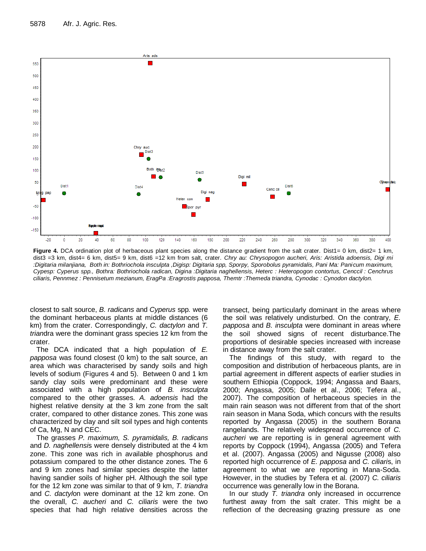

Figure 4. DCA ordination plot of herbaceous plant species along the distance gradient from the salt crater. Dist1= 0 km, dist2= 1 km, dist3 =3 km, dist4= 6 km, dist5= 9 km, dist6 =12 km from salt, crater. *Chry au: Chrysopogon aucheri, Aris: Aristida adoensis, Digi mi :Digitaria milanjiana, Both in: Bothriochola insculpta ,Digisp: Digitaria spp, Sporpy, Sporobolus pyramidalis, Pani Ma: Panicum maximum, Cypesp: Cyperus spp., Bothra: Bothriochola radican, Digina :Digitaria naghellensis, Heterc : Heteropogon contortus, Cenccil : Cenchrus ciliaris, Pennmez : Pennisetum mezianum, EragPa :Eragrostis papposa, Themtr :Themeda triandra, Cynodac : Cynodon dactylon.*

closest to salt source, *B. radicans* and *Cyperus* spp*.* were the dominant herbaceous plants at middle distances (6 km) from the crater. Correspondingly, *C. dactylon* and *T. trian*dra were the dominant grass species 12 km from the crater.

The DCA indicated that a high population of *E. papposa* was found closest (0 km) to the salt source, an area which was characterised by sandy soils and high levels of sodium (Figures 4 and 5). Between 0 and 1 km sandy clay soils were predominant and these were associated with a high population of *B. insculpta* compared to the other grasses. *A. adoensis* had the highest relative density at the 3 km zone from the salt crater, compared to other distance zones. This zone was characterized by clay and silt soil types and high contents of Ca, Mg, N and CEC.

The grasses *P. maximum, S. pyramidalis, B. radicans* and *D. naghellensi*s were densely distributed at the 4 km zone. This zone was rich in available phosphorus and potassium compared to the other distance zones. The 6 and 9 km zones had similar species despite the latter having sandier soils of higher pH. Although the soil type for the 12 km zone was similar to that of 9 km, *T. triandra* and *C. dactyl*on were dominant at the 12 km zone. On the overall, *C. aucheri* and *C. ciliaris* were the two species that had high relative densities across the transect, being particularly dominant in the areas where the soil was relatively undisturbed. On the contrary, *E. papposa* and *B. insculpta* were dominant in areas where the soil showed signs of recent disturbance.The proportions of desirable species increased with increase in distance away from the salt crater.

The findings of this study, with regard to the composition and distribution of herbaceous plants, are in partial agreement in different aspects of earlier studies in southern Ethiopia (Coppock, 1994; Angassa and Baars, 2000; Angassa, 2005; Dalle et al., 2006; Tefera al., 2007). The composition of herbaceous species in the main rain season was not different from that of the short rain season in Mana Soda, which concurs with the results reported by Angassa (2005) in the southern Borana rangelands. The relatively widespread occurrence of *C. aucheri* we are reporting is in general agreement with reports by Coppock (1994), Angassa (2005) and Tefera et al. (2007). Angassa (2005) and Nigusse (2008) also reported high occurrence of *E. papposa* and *C. ciliari*s, in agreement to what we are reporting in Mana-Soda. However, in the studies by Tefera et al. (2007) *C. ciliaris* occurrence was generally low in the Borana.

In our study *T. triandra* only increased in occurrence furthest away from the salt crater. This might be a reflection of the decreasing grazing pressure as one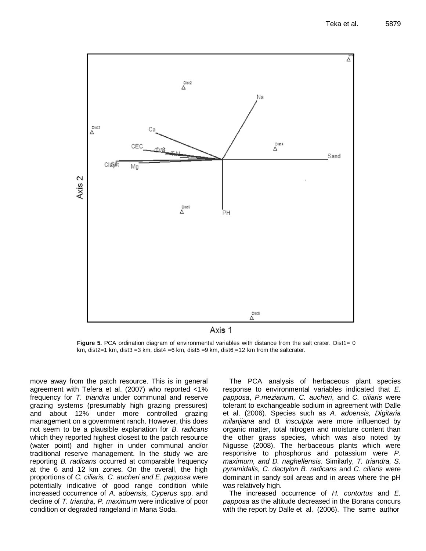

**Figure 5.** PCA ordination diagram of environmental variables with distance from the salt crater. Dist1= 0 km, dist2=1 km, dist3 =3 km, dist4 =6 km, dist5 =9 km, dist6 =12 km from the saltcrater.

move away from the patch resource. This is in general agreement with Tefera et al. (2007) who reported <1% frequency for *T. triandra* under communal and reserve grazing systems (presumably high grazing pressures) and about 12% under more controlled grazing management on a government ranch. However, this does not seem to be a plausible explanation for *B. radicans* which they reported highest closest to the patch resource (water point) and higher in under communal and/or traditional reserve management. In the study we are reporting *B. radicans* occurred at comparable frequency at the 6 and 12 km zones. On the overall, the high proportions of *C. ciliaris, C. aucheri and E. papposa* were potentially indicative of good range condition while increased occurrence of *A. adoensis, Cyperus* spp. and decline of *T. triandra, P. maximum* were indicative of poor condition or degraded rangeland in Mana Soda.

The PCA analysis of herbaceous plant species response to environmental variables indicated that *E. papposa*, *P.mezianum, C. aucheri*, and *C. ciliaris* were tolerant to exchangeable sodium in agreement with Dalle et al. (2006). Species such as *A*. *adoensis, Digitaria milanjiana* and *B. insculpta* were more influenced by organic matter, total nitrogen and moisture content than the other grass species, which was also noted by Nigusse (2008). The herbaceous plants which were responsive to phosphorus and potassium were *P. maximum, and D. naghellensis*. Similarly, *T. triandra, S. pyramidalis, C. dactylon B. radicans* and *C. ciliaris* were dominant in sandy soil areas and in areas where the pH was relatively high.

The increased occurrence of *H. contortus* and *E. papposa* as the altitude decreased in the Borana concurs with the report by Dalle et al. (2006). The same author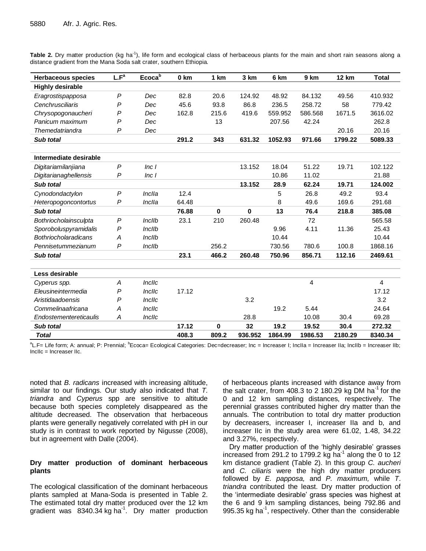|  |                                                                      |  |  |  | Table 2. Dry matter production (kg ha <sup>-1</sup> ), life form and ecological class of herbaceous plants for the main and short rain seasons along a |  |  |  |  |  |
|--|----------------------------------------------------------------------|--|--|--|--------------------------------------------------------------------------------------------------------------------------------------------------------|--|--|--|--|--|
|  | distance gradient from the Mana Soda salt crater, southern Ethiopia. |  |  |  |                                                                                                                                                        |  |  |  |  |  |

| <b>Herbaceous species</b>   | $L.F^a$          | Ecoca <sup>b</sup> | 0 km  | 1 km        | 3 km        | 6 km    | 9 km    | <b>12 km</b> | <b>Total</b>   |
|-----------------------------|------------------|--------------------|-------|-------------|-------------|---------|---------|--------------|----------------|
| <b>Highly desirable</b>     |                  |                    |       |             |             |         |         |              |                |
| Eragrostispapposa           | $\overline{P}$   | Dec                | 82.8  | 20.6        | 124.92      | 48.92   | 84.132  | 49.56        | 410.932        |
| Cenchrusciliaris            | P                | Dec                | 45.6  | 93.8        | 86.8        | 236.5   | 258.72  | 58           | 779.42         |
| Chrysopogonaucheri          | P                | Dec                | 162.8 | 215.6       | 419.6       | 559.952 | 586.568 | 1671.5       | 3616.02        |
| Panicum maximum             | $\overline{P}$   | Dec                |       | 13          |             | 207.56  | 42.24   |              | 262.8          |
| Themedatriandra             | $\overline{P}$   | Dec                |       |             |             |         |         | 20.16        | 20.16          |
| Sub total                   |                  |                    | 291.2 | 343         | 631.32      | 1052.93 | 971.66  | 1799.22      | 5089.33        |
|                             |                  |                    |       |             |             |         |         |              |                |
| Intermediate desirable      |                  |                    |       |             |             |         |         |              |                |
| Digitariamilanjiana         | $\boldsymbol{P}$ | Inc 1              |       |             | 13.152      | 18.04   | 51.22   | 19.71        | 102.122        |
| Digitarianaghellensis       | P                | Inc I              |       |             |             | 10.86   | 11.02   |              | 21.88          |
| Sub total                   |                  |                    |       |             | 13.152      | 28.9    | 62.24   | 19.71        | 124.002        |
| Cynodondactylon             | $\boldsymbol{P}$ | <i>Inclla</i>      | 12.4  |             |             | 5       | 26.8    | 49.2         | 93.4           |
| Heteropogoncontortus        | P                | Inclla             | 64.48 |             |             | 8       | 49.6    | 169.6        | 291.68         |
| Sub total                   |                  |                    | 76.88 | $\mathbf 0$ | $\mathbf 0$ | 13      | 76.4    | 218.8        | 385.08         |
| Bothriocholainsculpta       | P                | InclIb             | 23.1  | 210         | 260.48      |         | 72      |              | 565.58         |
| Sporoboluspyramidalis       | $\mathsf{P}$     | Incllb             |       |             |             | 9.96    | 4.11    | 11.36        | 25.43          |
| <b>Bothriocholaradicans</b> | A                | Incllb             |       |             |             | 10.44   |         |              | 10.44          |
| Pennisetummezianum          | P                | InclIb             |       | 256.2       |             | 730.56  | 780.6   | 100.8        | 1868.16        |
| Sub total                   |                  |                    | 23.1  | 466.2       | 260.48      | 750.96  | 856.71  | 112.16       | 2469.61        |
|                             |                  |                    |       |             |             |         |         |              |                |
| Less desirable              |                  |                    |       |             |             |         |         |              |                |
| Cyperus spp.                | A                | <b>Inclic</b>      |       |             |             |         | 4       |              | $\overline{4}$ |
| Eleusineintermedia          | $\mathsf{P}$     | <b>Inclic</b>      | 17.12 |             |             |         |         |              | 17.12          |
| Aristidaadoensis            | P                | <b>Inclic</b>      |       |             | 3.2         |         |         |              | 3.2            |
| Commelinaafricana           | Α                | <b>Inclic</b>      |       |             |             | 19.2    | 5.44    |              | 24.64          |
| Endostementereticaulis      | A                | Inclic             |       |             | 28.8        |         | 10.08   | 30.4         | 69.28          |
| <b>Sub total</b>            |                  |                    | 17.12 | 0           | 32          | 19.2    | 19.52   | 30.4         | 272.32         |
| <b>Total</b>                |                  |                    | 408.3 | 809.2       | 936.952     | 1864.99 | 1986.53 | 2180.29      | 8340.34        |

<sup>a</sup>L.F= Life form; A: annual; P: Prennial; <sup>b</sup>Ecoca= Ecological Categories: Dec=decreaser; Inc = Increaser I; IncIIa = Increaser IIa; IncIIb = Increaser IIb; IncIIc = Increaser IIc.

noted that *B. radicans* increased with increasing altitude, similar to our findings. Our study also indicated that *T. triandra* and *Cyperus* spp are sensitive to altitude because both species completely disappeared as the altitude decreased. The observation that herbaceous plants were generally negatively correlated with pH in our study is in contrast to work reported by Nigusse (2008), but in agreement with Dalle (2004).

## **Dry matter production of dominant herbaceous plants**

The ecological classification of the dominant herbaceous plants sampled at Mana-Soda is presented in Table 2. The estimated total dry matter produced over the 12 km gradient was  $8340.34$  kg ha<sup>-1</sup>. Dry matter production of herbaceous plants increased with distance away from the salt crater, from 408.3 to 2 180.29 kg DM ha<sup>-1</sup> for the 0 and 12 km sampling distances, respectively. The perennial grasses contributed higher dry matter than the annuals. The contribution to total dry matter production by decreasers, increaser I, increaser IIa and b, and increaser IIc in the study area were 61.02, 1.48, 34.22 and 3.27%, respectively.

Dry matter production of the 'highly desirable' grasses increased from 291.2 to 1799.2 kg ha<sup>-1</sup> along the 0 to 12 km distance gradient (Table 2). In this group *C. aucheri* and *C. ciliaris* were the high dry matter producers followed by *E. papposa,* and *P. maximum,* while *T*. *triandra* contributed the least. Dry matter production of the 'intermediate desirable' grass species was highest at the 6 and 9 km sampling distances, being 792.86 and 995.35 kg ha<sup>-1</sup>, respectively. Other than the considerable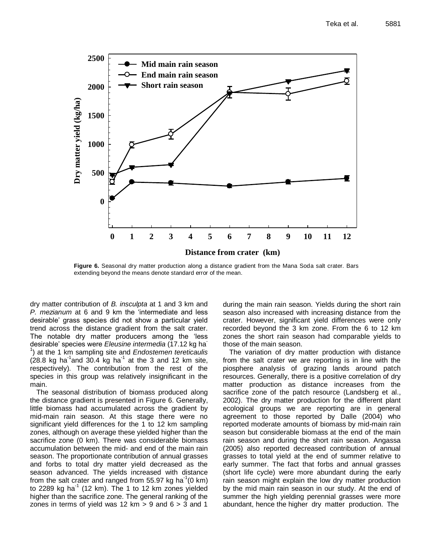

**Figure 6.** Seasonal dry matter production along a distance gradient from the Mana Soda salt crater. Bars extending beyond the means denote standard error of the mean.

dry matter contribution of *B. insculpta* at 1 and 3 km and *P. mezianum* at 6 and 9 km the 'intermediate and less desirable' grass species did not show a particular yield trend across the distance gradient from the salt crater. The notable dry matter producers among the 'less desirable' species were *Eleusine intermedia* (17.12 kg ha-1 ) at the 1 km sampling site and *Endostemen tereticaulis*  $(28.8 \text{ kg} \text{ ha}^{-1}$  and  $30.4 \text{ kg} \text{ ha}^{-1}$  at the 3 and 12 km site, respectively). The contribution from the rest of the species in this group was relatively insignificant in the main.

The seasonal distribution of biomass produced along the distance gradient is presented in Figure 6. Generally, little biomass had accumulated across the gradient by mid-main rain season. At this stage there were no significant yield differences for the 1 to 12 km sampling zones, although on average these yielded higher than the sacrifice zone (0 km). There was considerable biomass accumulation between the mid- and end of the main rain season. The proportionate contribution of annual grasses and forbs to total dry matter yield decreased as the season advanced. The yields increased with distance from the salt crater and ranged from 55.97 kg ha<sup>-1</sup>(0 km) to 2289 kg ha<sup>-1</sup> (12 km). The 1 to 12 km zones yielded higher than the sacrifice zone. The general ranking of the zones in terms of yield was 12 km  $>$  9 and 6  $>$  3 and 1

during the main rain season. Yields during the short rain season also increased with increasing distance from the crater. However, significant yield differences were only recorded beyond the 3 km zone. From the 6 to 12 km zones the short rain season had comparable yields to those of the main season.

The variation of dry matter production with distance from the salt crater we are reporting is in line with the piosphere analysis of grazing lands around patch resources. Generally, there is a positive correlation of dry matter production as distance increases from the sacrifice zone of the patch resource (Landsberg et al., 2002). The dry matter production for the different plant ecological groups we are reporting are in general agreement to those reported by Dalle (2004) who reported moderate amounts of biomass by mid-main rain season but considerable biomass at the end of the main rain season and during the short rain season. Angassa (2005) also reported decreased contribution of annual grasses to total yield at the end of summer relative to early summer. The fact that forbs and annual grasses (short life cycle) were more abundant during the early rain season might explain the low dry matter production by the mid main rain season in our study. At the end of summer the high yielding perennial grasses were more abundant, hence the higher dry matter production. The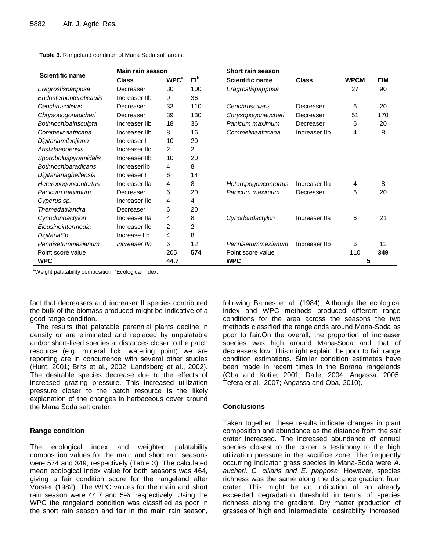| <b>Table 3.</b> Rangeland condition of Mana Soda salt areas. |  |  |  |  |  |
|--------------------------------------------------------------|--|--|--|--|--|
|--------------------------------------------------------------|--|--|--|--|--|

|                             | Main rain season     |                        |                 | Short rain season      |               |             |            |  |  |  |
|-----------------------------|----------------------|------------------------|-----------------|------------------------|---------------|-------------|------------|--|--|--|
| <b>Scientific name</b>      | <b>Class</b>         | <b>WPC<sup>a</sup></b> | EI <sub>p</sub> | <b>Scientific name</b> | <b>Class</b>  | <b>WPCM</b> | <b>EIM</b> |  |  |  |
| Eragrostispapposa           | Decreaser            | 30                     | 100             | Eragrostispapposa      |               | 27          | 90         |  |  |  |
| Endostementereticaulis      | Increaser IIb        | 9                      | 36              |                        |               |             |            |  |  |  |
| Cenchrusciliaris            | Decreaser            | 33                     | 110             | Cenchrusciliaris       | Decreaser     | 6           | 20         |  |  |  |
| Chrysopogonaucheri          | Decreaser            | 39                     | 130             | Chrysopogonaucheri     | Decreaser     | 51          | 170        |  |  |  |
| Bothriochloainsculpta       | Increaser IIb        | 18                     | 36              | Panicum maximum        | Decreaser     | 6           | 20         |  |  |  |
| Commelinaafricana           | Increaser IIb        | 8                      | 16              | Commelinaafricana      | Increaser IIb | 4           | 8          |  |  |  |
| Digitariamilanjiana         | Increaser I          | 10                     | 20              |                        |               |             |            |  |  |  |
| Aristidaadoensis            | Increaser IIc        | $\overline{2}$         | $\overline{2}$  |                        |               |             |            |  |  |  |
| Sporoboluspyramidalis       | Increaser IIb        | 10                     | 20              |                        |               |             |            |  |  |  |
| <b>Bothriochloaradicans</b> | IncreaserIIb         | 4                      | 8               |                        |               |             |            |  |  |  |
| Digitarianaghellensis       | Increaser I          | 6                      | 14              |                        |               |             |            |  |  |  |
| <b>Heteropogoncontortus</b> | Increaser Ila        | 4                      | 8               | Heteropogoncontortus   | Increaser IIa | 4           | 8          |  |  |  |
| Panicum maximum             | Decreaser            | 6                      | 20              | Panicum maximum        | Decreaser     | 6           | 20         |  |  |  |
| Cyperus sp.                 | Increaser IIc        | 4                      | 4               |                        |               |             |            |  |  |  |
| Themedatriandra             | Decreaser            | 6                      | 20              |                        |               |             |            |  |  |  |
| Cynodondactylon             | Increaser IIa        | 4                      | 8               | Cynodondactylon        | Increaser IIa | 6           | 21         |  |  |  |
| Eleusineintermedia          | Increaser IIc        | $\overline{2}$         | 2               |                        |               |             |            |  |  |  |
| DigitariaSp                 | Increase IIb         | 4                      | 8               |                        |               |             |            |  |  |  |
| Pennisetummezianum          | <i>Increaser IIb</i> | 6                      | 12              | Pennisetummezianum     | Increaser IIb | 6           | 12         |  |  |  |
| Point score value           |                      | 205                    | 574             | Point score value      |               | 110         | 349        |  |  |  |
| <b>WPC</b>                  |                      | 44.7                   |                 | <b>WPC</b>             |               | 5           |            |  |  |  |

<sup>a</sup>Weight palatability composition; <sup>b</sup>Ecological index.

fact that decreasers and increaser II species contributed the bulk of the biomass produced might be indicative of a good range condition.

The results that palatable perennial plants decline in density or are eliminated and replaced by unpalatable and/or short-lived species at distances closer to the patch resource (e.g. mineral lick; watering point) we are reporting are in concurrence with several other studies (Hunt, 2001; Brits et al., 2002; Landsberg et al., 2002). The desirable species decrease due to the effects of increased grazing pressure. This increased utilization pressure closer to the patch resource is the likely explanation of the changes in herbaceous cover around the Mana Soda salt crater.

## **Range condition**

The ecological index and weighted palatability composition values for the main and short rain seasons were 574 and 349, respectively (Table 3). The calculated mean ecological index value for both seasons was 464, giving a fair condition score for the rangeland after Vorster (1982). The WPC values for the main and short rain season were 44.7 and 5%, respectively. Using the WPC the rangeland condition was classified as poor in the short rain season and fair in the main rain season, following Barnes et al. (1984). Although the ecological index and WPC methods produced different range conditions for the area across the seasons the two methods classified the rangelands around Mana-Soda as poor to fair.On the overall, the proportion of increaser species was high around Mana-Soda and that of decreasers low. This might explain the poor to fair range condition estimations. Similar condition estimates have been made in recent times in the Borana rangelands (Oba and Kotile, 2001; Dalle, 2004; Angassa, 2005; Tefera et al., 2007; Angassa and Oba, 2010).

## **Conclusions**

Taken together, these results indicate changes in plant composition and abundance as the distance from the salt crater increased. The increased abundance of annual species closest to the crater is testimony to the high utilization pressure in the sacrifice zone. The frequently occurring indicator grass species in Mana-Soda were *A. aucheri, C. ciliaris and E. papposa*. However, species richness was the same along the distance gradient from crater. This might be an indication of an already exceeded degradation threshold in terms of species richness along the gradient. Dry matter production of grasses of 'high and intermediate' desirability increased